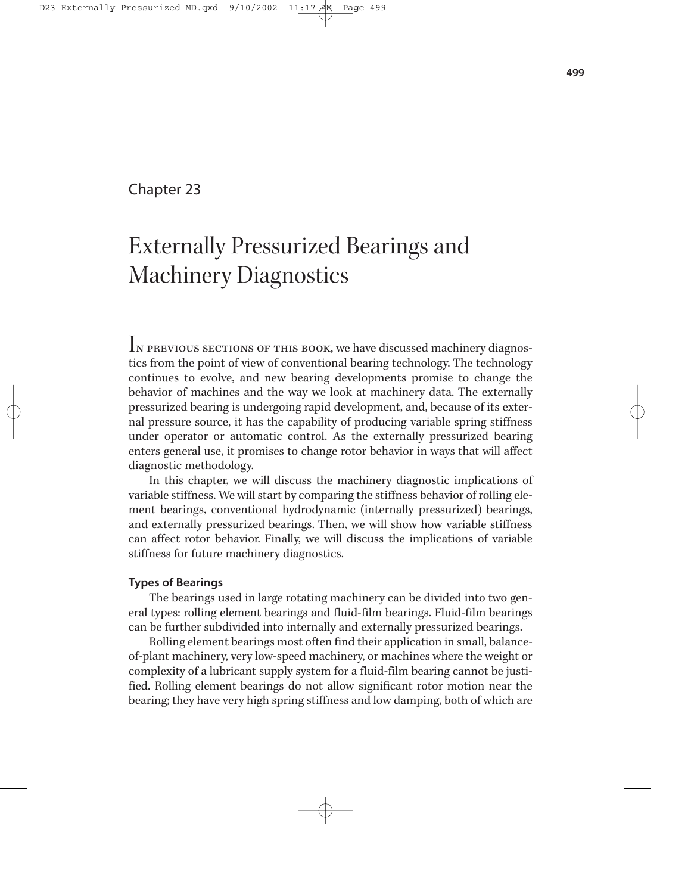499

# Chapter 23

# Externally Pressurized Bearings and Machinery Diagnostics

I<sup>N</sup> PREVIOUS SECTIONS OF THIS BOOK, we have discussed machinery diagnostics from the point of view of conventional bearing technology. The technology continues to evolve, and new bearing developments promise to change the behavior of machines and the way we look at machinery data. The externally pressurized bearing is undergoing rapid development, and, because of its external pressure source, it has the capability of producing variable spring stiffness under operator or automatic control. As the externally pressurized bearing enters general use, it promises to change rotor behavior in ways that will affect diagnostic methodology.

In this chapter, we will discuss the machinery diagnostic implications of variable stiffness. We will start by comparing the stiffness behavior of rolling element bearings, conventional hydrodynamic (internally pressurized) bearings, and externally pressurized bearings. Then, we will show how variable stiffness can affect rotor behavior. Finally, we will discuss the implications of variable stiffness for future machinery diagnostics.

# Types of Bearings

The bearings used in large rotating machinery can be divided into two general types: rolling element bearings and fluid-film bearings. Fluid-film bearings can be further subdivided into internally and externally pressurized bearings.

Rolling element bearings most often find their application in small, balanceof-plant machinery, very low-speed machinery, or machines where the weight or complexity of a lubricant supply system for a fluid-film bearing cannot be justified. Rolling element bearings do not allow significant rotor motion near the bearing; they have very high spring stiffness and low damping, both of which are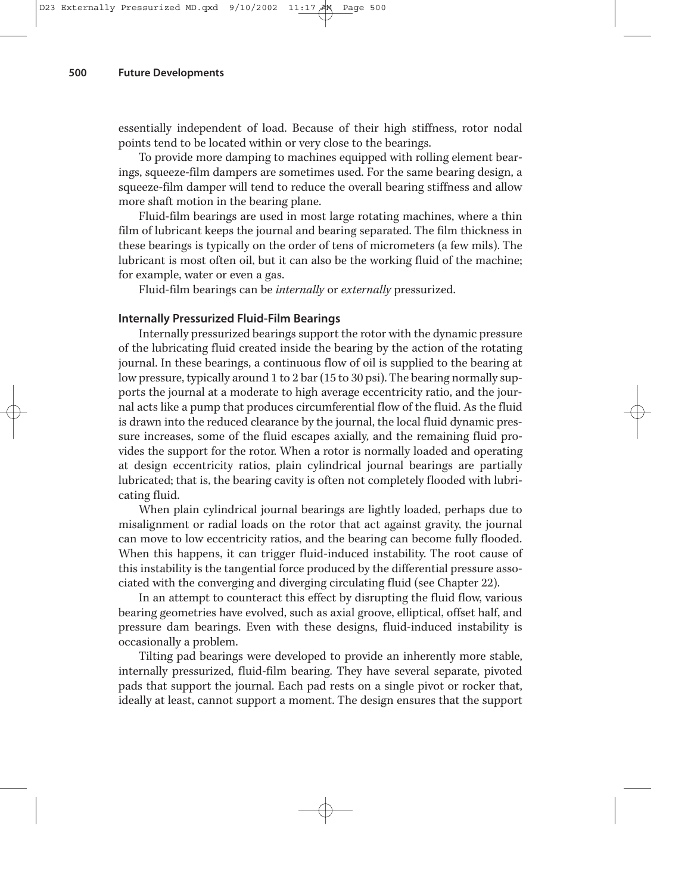essentially independent of load. Because of their high stiffness, rotor nodal points tend to be located within or very close to the bearings.

To provide more damping to machines equipped with rolling element bearings, squeeze-film dampers are sometimes used. For the same bearing design, a squeeze-film damper will tend to reduce the overall bearing stiffness and allow more shaft motion in the bearing plane.

Fluid-film bearings are used in most large rotating machines, where a thin film of lubricant keeps the journal and bearing separated. The film thickness in these bearings is typically on the order of tens of micrometers (a few mils). The lubricant is most often oil, but it can also be the working fluid of the machine; for example, water or even a gas.

Fluid-film bearings can be internally or externally pressurized.

# Internally Pressurized Fluid-Film Bearings

Internally pressurized bearings support the rotor with the dynamic pressure of the lubricating fluid created inside the bearing by the action of the rotating journal. In these bearings, a continuous flow of oil is supplied to the bearing at low pressure, typically around 1 to 2 bar (15 to 30 psi). The bearing normally supports the journal at a moderate to high average eccentricity ratio, and the journal acts like a pump that produces circumferential flow of the fluid. As the fluid is drawn into the reduced clearance by the journal, the local fluid dynamic pressure increases, some of the fluid escapes axially, and the remaining fluid provides the support for the rotor. When a rotor is normally loaded and operating at design eccentricity ratios, plain cylindrical journal bearings are partially lubricated; that is, the bearing cavity is often not completely flooded with lubricating fluid.

When plain cylindrical journal bearings are lightly loaded, perhaps due to misalignment or radial loads on the rotor that act against gravity, the journal can move to low eccentricity ratios, and the bearing can become fully flooded. When this happens, it can trigger fluid-induced instability. The root cause of this instability is the tangential force produced by the differential pressure associated with the converging and diverging circulating fluid (see Chapter 22).

In an attempt to counteract this effect by disrupting the fluid flow, various bearing geometries have evolved, such as axial groove, elliptical, offset half, and pressure dam bearings. Even with these designs, fluid-induced instability is occasionally a problem.

Tilting pad bearings were developed to provide an inherently more stable, internally pressurized, fluid-film bearing. They have several separate, pivoted pads that support the journal. Each pad rests on a single pivot or rocker that, ideally at least, cannot support a moment. The design ensures that the support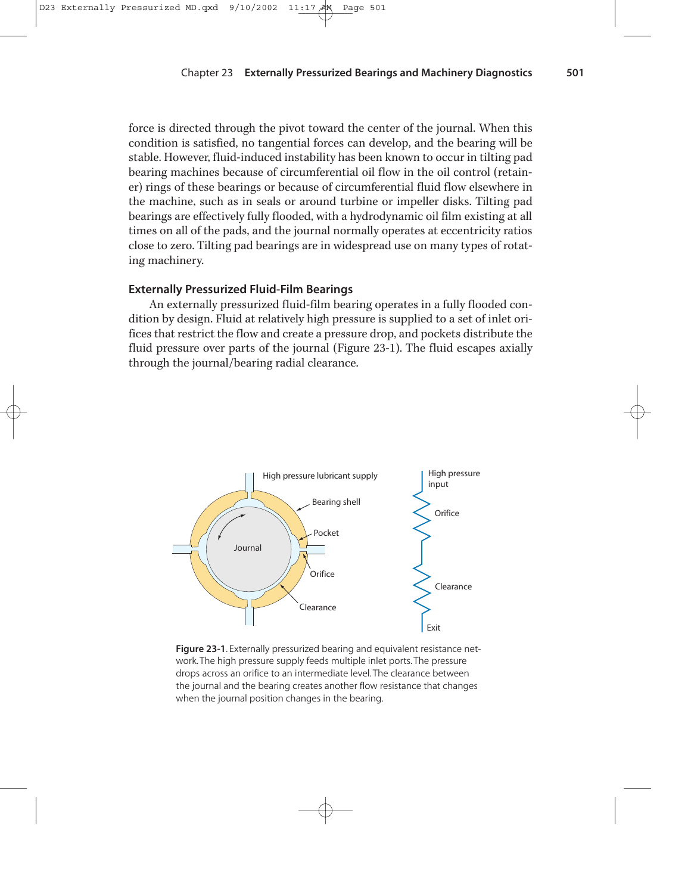force is directed through the pivot toward the center of the journal. When this condition is satisfied, no tangential forces can develop, and the bearing will be stable. However, fluid-induced instability has been known to occur in tilting pad bearing machines because of circumferential oil flow in the oil control (retainer) rings of these bearings or because of circumferential fluid flow elsewhere in the machine, such as in seals or around turbine or impeller disks. Tilting pad bearings are effectively fully flooded, with a hydrodynamic oil film existing at all times on all of the pads, and the journal normally operates at eccentricity ratios close to zero. Tilting pad bearings are in widespread use on many types of rotating machinery.

# Externally Pressurized Fluid-Film Bearings

An externally pressurized fluid-film bearing operates in a fully flooded condition by design. Fluid at relatively high pressure is supplied to a set of inlet orifices that restrict the flow and create a pressure drop, and pockets distribute the fluid pressure over parts of the journal (Figure 23-1). The fluid escapes axially through the journal/bearing radial clearance.



Figure 23-1. Externally pressurized bearing and equivalent resistance network. The high pressure supply feeds multiple inlet ports. The pressure drops across an orifice to an intermediate level. The clearance between the journal and the bearing creates another flow resistance that changes when the journal position changes in the bearing.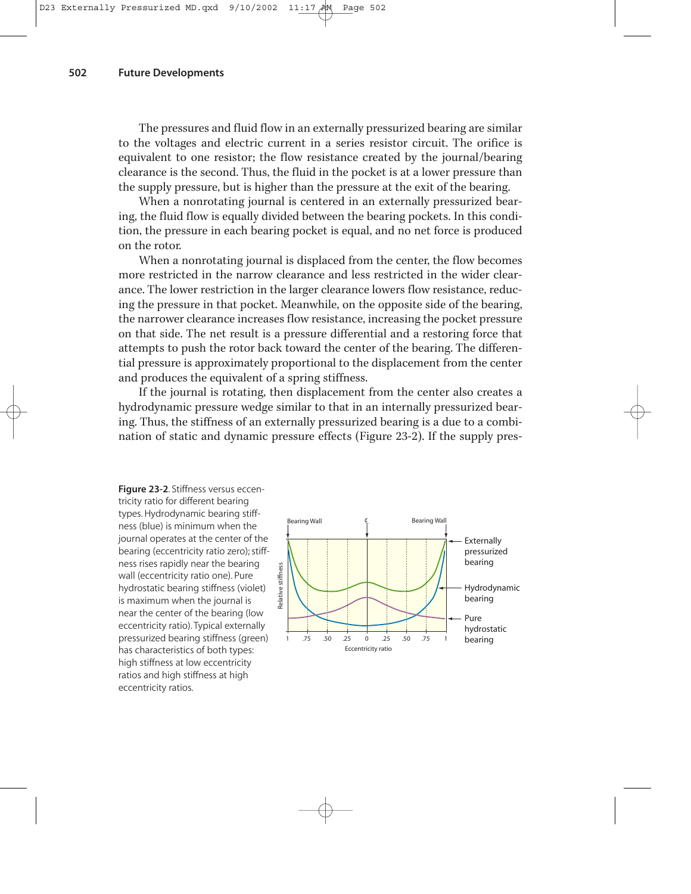The pressures and fluid flow in an externally pressurized bearing are similar to the voltages and electric current in a series resistor circuit. The orifice is equivalent to one resistor; the flow resistance created by the journal/bearing clearance is the second. Thus, the fluid in the pocket is at a lower pressure than the supply pressure, but is higher than the pressure at the exit of the bearing.

When a nonrotating journal is centered in an externally pressurized bearing, the fluid flow is equally divided between the bearing pockets. In this condition, the pressure in each bearing pocket is equal, and no net force is produced on the rotor.

When a nonrotating journal is displaced from the center, the flow becomes more restricted in the narrow clearance and less restricted in the wider clearance. The lower restriction in the larger clearance lowers flow resistance, reducing the pressure in that pocket. Meanwhile, on the opposite side of the bearing, the narrower clearance increases flow resistance, increasing the pocket pressure on that side. The net result is a pressure differential and a restoring force that attempts to push the rotor back toward the center of the bearing. The differential pressure is approximately proportional to the displacement from the center and produces the equivalent of a spring stiffness.

If the journal is rotating, then displacement from the center also creates a hydrodynamic pressure wedge similar to that in an internally pressurized bearing. Thus, the stiffness of an externally pressurized bearing is a due to a combination of static and dynamic pressure effects (Figure 23-2). If the supply pres-

Figure 23-2. Stiffness versus eccentricity ratio for different bearing types. Hydrodynamic bearing stiffness (blue) is minimum when the journal operates at the center of the bearing (eccentricity ratio zero); stiffness rises rapidly near the bearing wall (eccentricity ratio one). Pure hydrostatic bearing stiffness (violet) is maximum when the journal is near the center of the bearing (low eccentricity ratio). Typical externally pressurized bearing stiffness (green) has characteristics of both types: high stiffness at low eccentricity ratios and high stiffness at high eccentricity ratios.

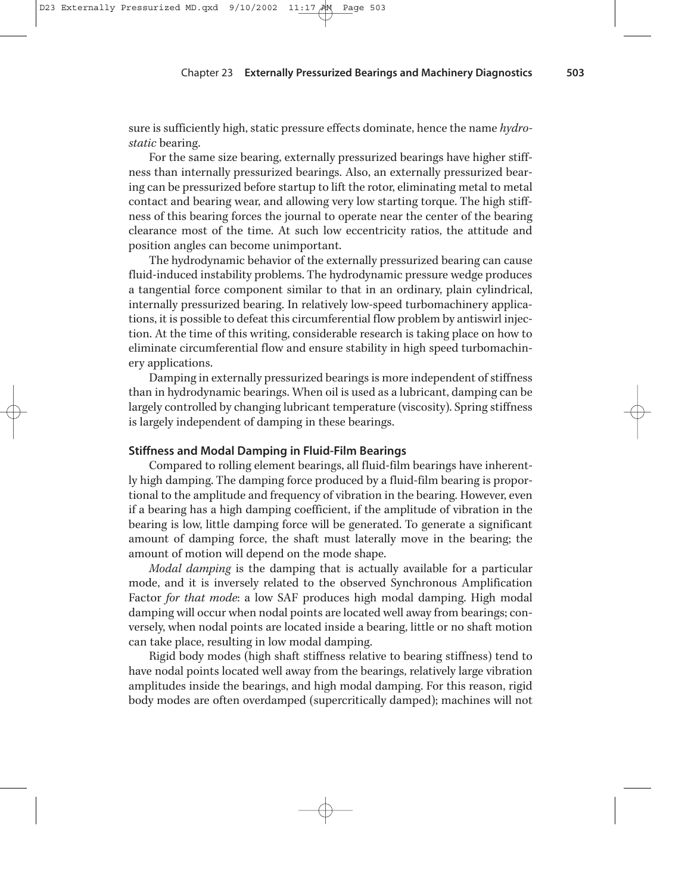sure is sufficiently high, static pressure effects dominate, hence the name hydrostatic bearing.

For the same size bearing, externally pressurized bearings have higher stiffness than internally pressurized bearings. Also, an externally pressurized bearing can be pressurized before startup to lift the rotor, eliminating metal to metal contact and bearing wear, and allowing very low starting torque. The high stiffness of this bearing forces the journal to operate near the center of the bearing clearance most of the time. At such low eccentricity ratios, the attitude and position angles can become unimportant.

The hydrodynamic behavior of the externally pressurized bearing can cause fluid-induced instability problems. The hydrodynamic pressure wedge produces a tangential force component similar to that in an ordinary, plain cylindrical, internally pressurized bearing. In relatively low-speed turbomachinery applications, it is possible to defeat this circumferential flow problem by antiswirl injection. At the time of this writing, considerable research is taking place on how to eliminate circumferential flow and ensure stability in high speed turbomachinery applications.

Damping in externally pressurized bearings is more independent of stiffness than in hydrodynamic bearings. When oil is used as a lubricant, damping can be largely controlled by changing lubricant temperature (viscosity). Spring stiffness is largely independent of damping in these bearings.

#### Stiffness and Modal Damping in Fluid-Film Bearings

Compared to rolling element bearings, all fluid-film bearings have inherently high damping. The damping force produced by a fluid-film bearing is proportional to the amplitude and frequency of vibration in the bearing. However, even if a bearing has a high damping coefficient, if the amplitude of vibration in the bearing is low, little damping force will be generated. To generate a significant amount of damping force, the shaft must laterally move in the bearing; the amount of motion will depend on the mode shape.

Modal damping is the damping that is actually available for a particular mode, and it is inversely related to the observed Synchronous Amplification Factor for that mode: a low SAF produces high modal damping. High modal damping will occur when nodal points are located well away from bearings; conversely, when nodal points are located inside a bearing, little or no shaft motion can take place, resulting in low modal damping.

Rigid body modes (high shaft stiffness relative to bearing stiffness) tend to have nodal points located well away from the bearings, relatively large vibration amplitudes inside the bearings, and high modal damping. For this reason, rigid body modes are often overdamped (supercritically damped); machines will not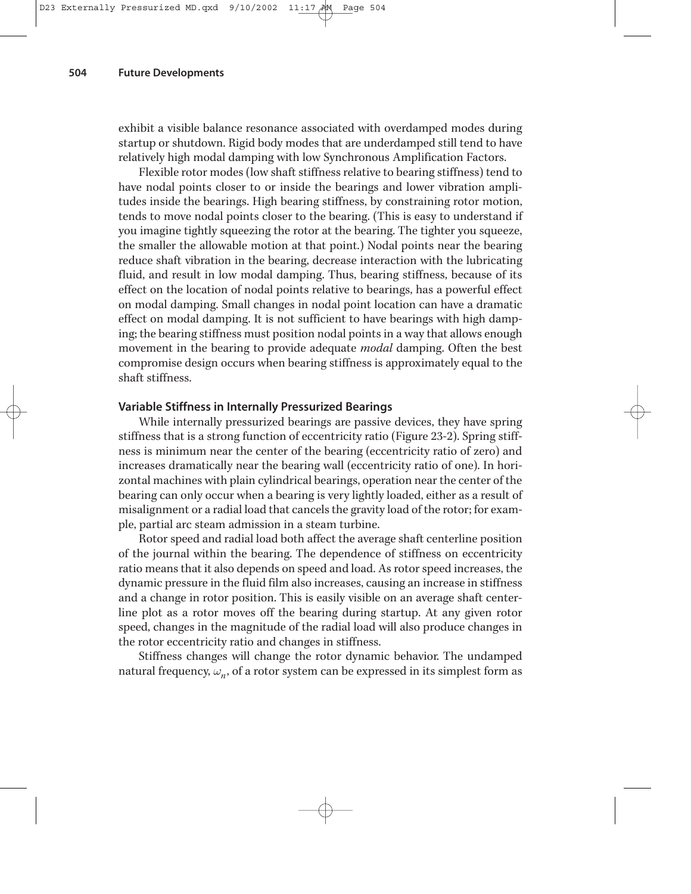exhibit a visible balance resonance associated with overdamped modes during startup or shutdown. Rigid body modes that are underdamped still tend to have relatively high modal damping with low Synchronous Amplification Factors.

Flexible rotor modes (low shaft stiffness relative to bearing stiffness) tend to have nodal points closer to or inside the bearings and lower vibration amplitudes inside the bearings. High bearing stiffness, by constraining rotor motion, tends to move nodal points closer to the bearing. (This is easy to understand if you imagine tightly squeezing the rotor at the bearing. The tighter you squeeze, the smaller the allowable motion at that point.) Nodal points near the bearing reduce shaft vibration in the bearing, decrease interaction with the lubricating fluid, and result in low modal damping. Thus, bearing stiffness, because of its effect on the location of nodal points relative to bearings, has a powerful effect on modal damping. Small changes in nodal point location can have a dramatic effect on modal damping. It is not sufficient to have bearings with high damping; the bearing stiffness must position nodal points in a way that allows enough movement in the bearing to provide adequate *modal* damping. Often the best compromise design occurs when bearing stiffness is approximately equal to the shaft stiffness.

# Variable Stiffness in Internally Pressurized Bearings

While internally pressurized bearings are passive devices, they have spring stiffness that is a strong function of eccentricity ratio (Figure 23-2). Spring stiffness is minimum near the center of the bearing (eccentricity ratio of zero) and increases dramatically near the bearing wall (eccentricity ratio of one). In horizontal machines with plain cylindrical bearings, operation near the center of the bearing can only occur when a bearing is very lightly loaded, either as a result of misalignment or a radial load that cancels the gravity load of the rotor; for example, partial arc steam admission in a steam turbine.

Rotor speed and radial load both affect the average shaft centerline position of the journal within the bearing. The dependence of stiffness on eccentricity ratio means that it also depends on speed and load. As rotor speed increases, the dynamic pressure in the fluid film also increases, causing an increase in stiffness and a change in rotor position. This is easily visible on an average shaft centerline plot as a rotor moves off the bearing during startup. At any given rotor speed, changes in the magnitude of the radial load will also produce changes in the rotor eccentricity ratio and changes in stiffness.

Stiffness changes will change the rotor dynamic behavior. The undamped natural frequency,  $\omega_n$ , of a rotor system can be expressed in its simplest form as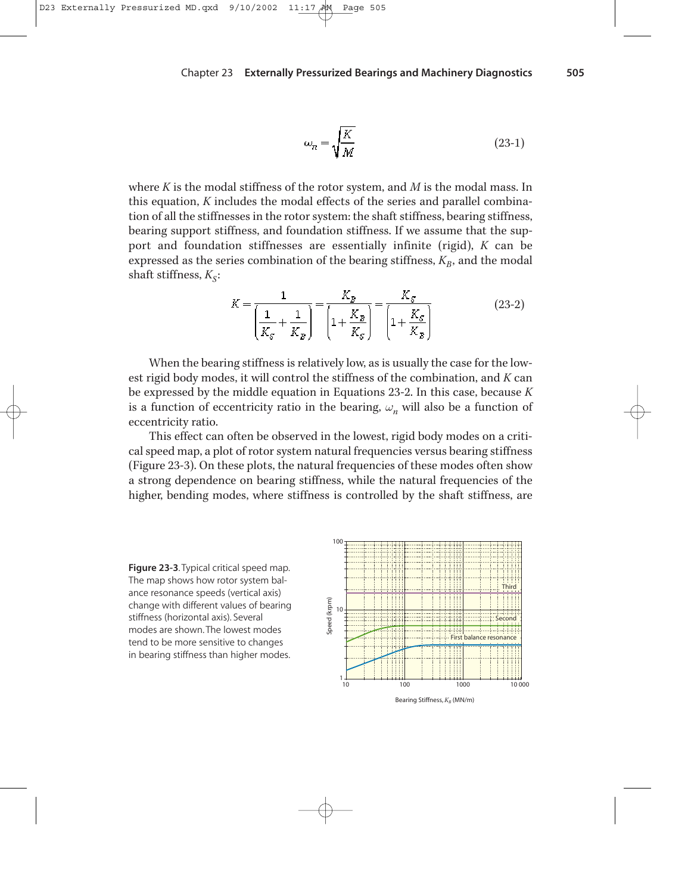$$
\omega_n = \sqrt{\frac{K}{M}}\tag{23-1}
$$

where K is the modal stiffness of the rotor system, and M is the modal mass. In this equation, K includes the modal effects of the series and parallel combination of all the stiffnesses in the rotor system: the shaft stiffness, bearing stiffness, bearing support stiffness, and foundation stiffness. If we assume that the support and foundation stiffnesses are essentially infinite (rigid),  $K$  can be expressed as the series combination of the bearing stiffness,  $K_B$ , and the modal shaft stiffness,  $K_S$ :

$$
K = \frac{1}{\left(\frac{1}{K_{\mathcal{S}}} + \frac{1}{K_{\mathcal{B}}}\right)} = \frac{K_{\mathcal{B}}}{\left(1 + \frac{K_{\mathcal{B}}}{K_{\mathcal{S}}}\right)} = \frac{K_{\mathcal{S}}}{\left(1 + \frac{K_{\mathcal{S}}}{K_{\mathcal{B}}}\right)}
$$
(23-2)

When the bearing stiffness is relatively low, as is usually the case for the lowest rigid body modes, it will control the stiffness of the combination, and K can be expressed by the middle equation in Equations 23-2. In this case, because K is a function of eccentricity ratio in the bearing,  $\omega_n$  will also be a function of eccentricity ratio.

This effect can often be observed in the lowest, rigid body modes on a critical speed map, a plot of rotor system natural frequencies versus bearing stiffness (Figure 23-3). On these plots, the natural frequencies of these modes often show a strong dependence on bearing stiffness, while the natural frequencies of the higher, bending modes, where stiffness is controlled by the shaft stiffness, are

Figure 23-3. Typical critical speed map. The map shows how rotor system balance resonance speeds (vertical axis) change with different values of bearing stiffness (horizontal axis). Several modes are shown. The lowest modes tend to be more sensitive to changes in bearing stiffness than higher modes.

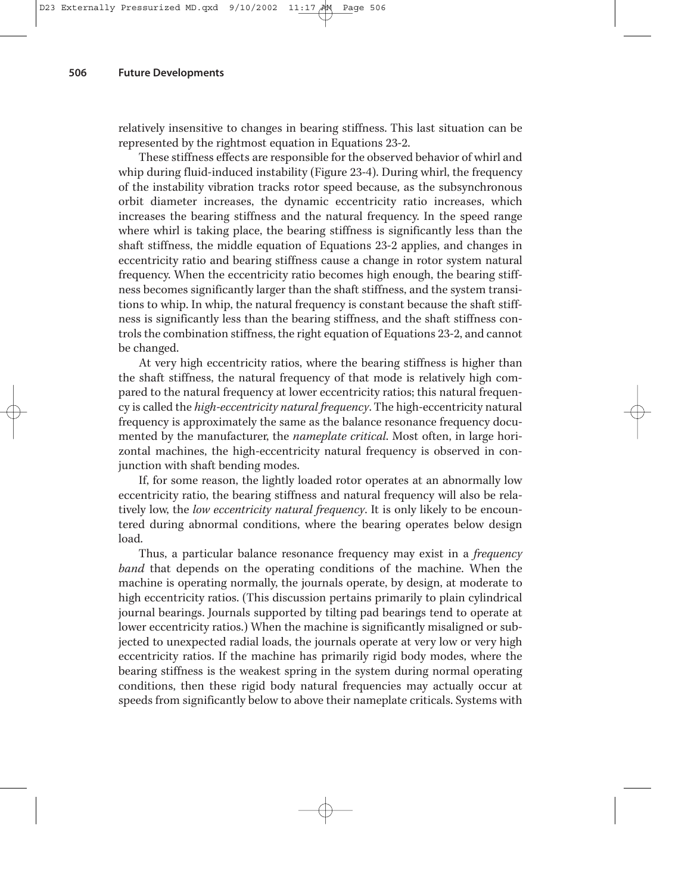relatively insensitive to changes in bearing stiffness. This last situation can be represented by the rightmost equation in Equations 23-2.

These stiffness effects are responsible for the observed behavior of whirl and whip during fluid-induced instability (Figure 23-4). During whirl, the frequency of the instability vibration tracks rotor speed because, as the subsynchronous orbit diameter increases, the dynamic eccentricity ratio increases, which increases the bearing stiffness and the natural frequency. In the speed range where whirl is taking place, the bearing stiffness is significantly less than the shaft stiffness, the middle equation of Equations 23-2 applies, and changes in eccentricity ratio and bearing stiffness cause a change in rotor system natural frequency. When the eccentricity ratio becomes high enough, the bearing stiffness becomes significantly larger than the shaft stiffness, and the system transitions to whip. In whip, the natural frequency is constant because the shaft stiffness is significantly less than the bearing stiffness, and the shaft stiffness controls the combination stiffness, the right equation of Equations 23-2, and cannot be changed.

At very high eccentricity ratios, where the bearing stiffness is higher than the shaft stiffness, the natural frequency of that mode is relatively high compared to the natural frequency at lower eccentricity ratios; this natural frequency is called the high-eccentricity natural frequency. The high-eccentricity natural frequency is approximately the same as the balance resonance frequency documented by the manufacturer, the *nameplate critical*. Most often, in large horizontal machines, the high-eccentricity natural frequency is observed in conjunction with shaft bending modes.

If, for some reason, the lightly loaded rotor operates at an abnormally low eccentricity ratio, the bearing stiffness and natural frequency will also be relatively low, the *low eccentricity natural frequency*. It is only likely to be encountered during abnormal conditions, where the bearing operates below design load.

Thus, a particular balance resonance frequency may exist in a frequency band that depends on the operating conditions of the machine. When the machine is operating normally, the journals operate, by design, at moderate to high eccentricity ratios. (This discussion pertains primarily to plain cylindrical journal bearings. Journals supported by tilting pad bearings tend to operate at lower eccentricity ratios.) When the machine is significantly misaligned or subjected to unexpected radial loads, the journals operate at very low or very high eccentricity ratios. If the machine has primarily rigid body modes, where the bearing stiffness is the weakest spring in the system during normal operating conditions, then these rigid body natural frequencies may actually occur at speeds from significantly below to above their nameplate criticals. Systems with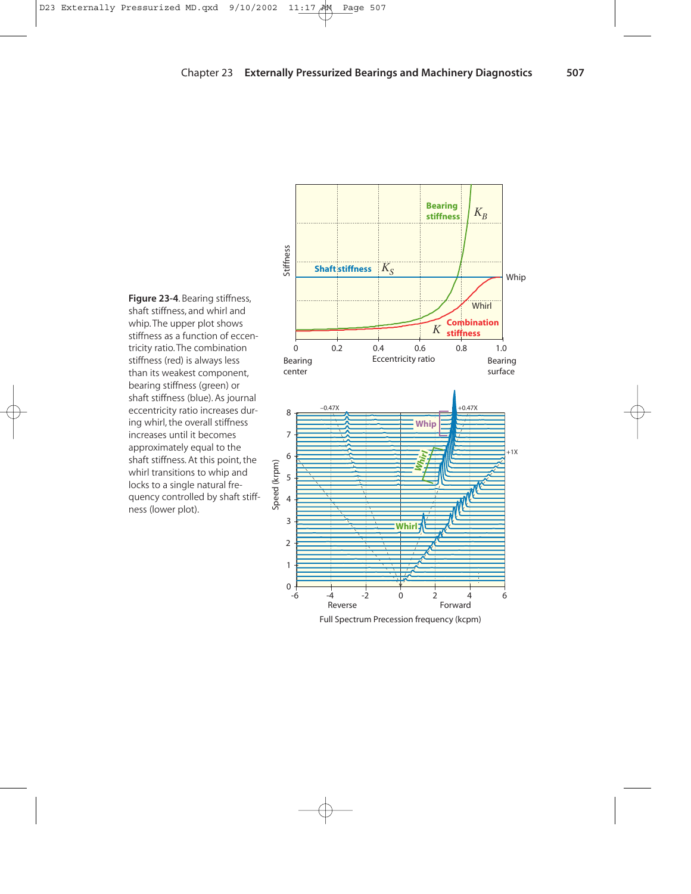Figure 23-4. Bearing stiffness, shaft stiffness, and whirl and whip. The upper plot shows stiffness as a function of eccentricity ratio. The combination stiffness (red) is always less than its weakest component, bearing stiffness (green) or shaft stiffness (blue). As journal eccentricity ratio increases during whirl, the overall stiffness increases until it becomes approximately equal to the shaft stiffness. At this point, the whirl transitions to whip and locks to a single natural frequency controlled by shaft stiffness (lower plot).

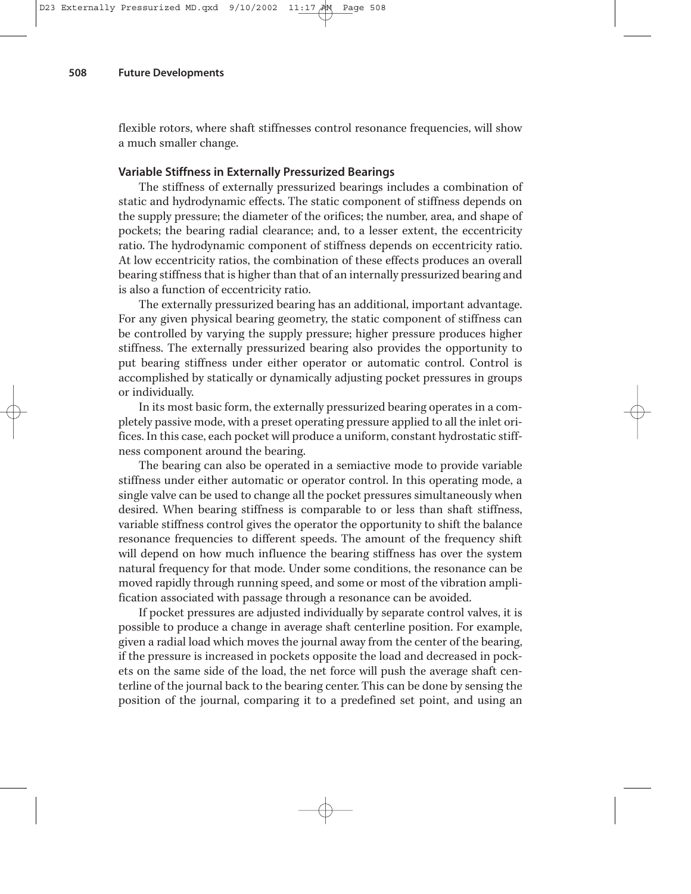flexible rotors, where shaft stiffnesses control resonance frequencies, will show a much smaller change.

# Variable Stiffness in Externally Pressurized Bearings

The stiffness of externally pressurized bearings includes a combination of static and hydrodynamic effects. The static component of stiffness depends on the supply pressure; the diameter of the orifices; the number, area, and shape of pockets; the bearing radial clearance; and, to a lesser extent, the eccentricity ratio. The hydrodynamic component of stiffness depends on eccentricity ratio. At low eccentricity ratios, the combination of these effects produces an overall bearing stiffness that is higher than that of an internally pressurized bearing and is also a function of eccentricity ratio.

The externally pressurized bearing has an additional, important advantage. For any given physical bearing geometry, the static component of stiffness can be controlled by varying the supply pressure; higher pressure produces higher stiffness. The externally pressurized bearing also provides the opportunity to put bearing stiffness under either operator or automatic control. Control is accomplished by statically or dynamically adjusting pocket pressures in groups or individually.

In its most basic form, the externally pressurized bearing operates in a completely passive mode, with a preset operating pressure applied to all the inlet orifices. In this case, each pocket will produce a uniform, constant hydrostatic stiffness component around the bearing.

The bearing can also be operated in a semiactive mode to provide variable stiffness under either automatic or operator control. In this operating mode, a single valve can be used to change all the pocket pressures simultaneously when desired. When bearing stiffness is comparable to or less than shaft stiffness, variable stiffness control gives the operator the opportunity to shift the balance resonance frequencies to different speeds. The amount of the frequency shift will depend on how much influence the bearing stiffness has over the system natural frequency for that mode. Under some conditions, the resonance can be moved rapidly through running speed, and some or most of the vibration amplification associated with passage through a resonance can be avoided.

If pocket pressures are adjusted individually by separate control valves, it is possible to produce a change in average shaft centerline position. For example, given a radial load which moves the journal away from the center of the bearing, if the pressure is increased in pockets opposite the load and decreased in pockets on the same side of the load, the net force will push the average shaft centerline of the journal back to the bearing center. This can be done by sensing the position of the journal, comparing it to a predefined set point, and using an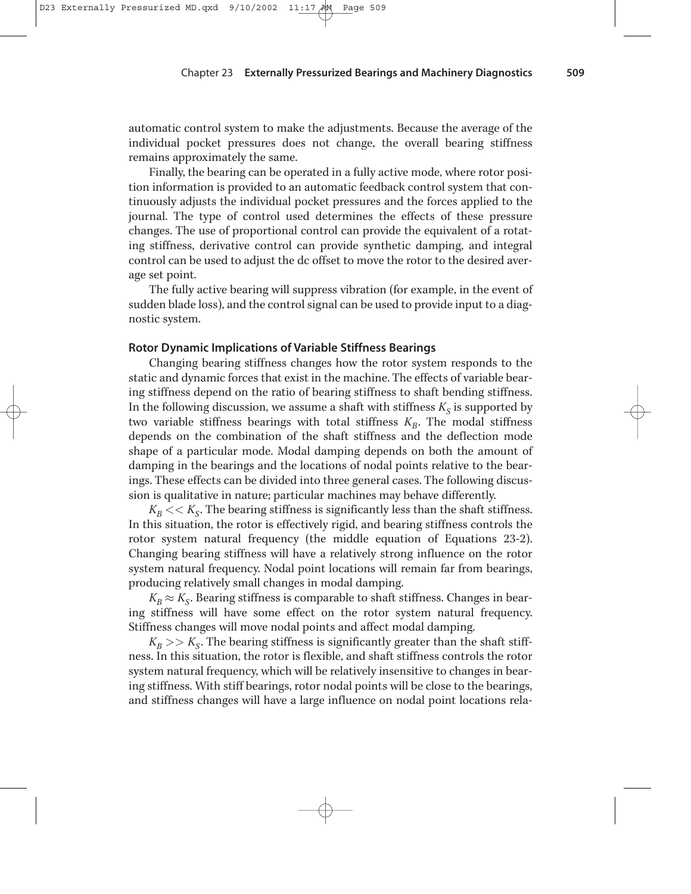automatic control system to make the adjustments. Because the average of the individual pocket pressures does not change, the overall bearing stiffness remains approximately the same.

Finally, the bearing can be operated in a fully active mode, where rotor position information is provided to an automatic feedback control system that continuously adjusts the individual pocket pressures and the forces applied to the journal. The type of control used determines the effects of these pressure changes. The use of proportional control can provide the equivalent of a rotating stiffness, derivative control can provide synthetic damping, and integral control can be used to adjust the dc offset to move the rotor to the desired average set point.

The fully active bearing will suppress vibration (for example, in the event of sudden blade loss), and the control signal can be used to provide input to a diagnostic system.

#### Rotor Dynamic Implications of Variable Stiffness Bearings

Changing bearing stiffness changes how the rotor system responds to the static and dynamic forces that exist in the machine. The effects of variable bearing stiffness depend on the ratio of bearing stiffness to shaft bending stiffness. In the following discussion, we assume a shaft with stiffness  $K_S$  is supported by two variable stiffness bearings with total stiffness  $K_B$ . The modal stiffness depends on the combination of the shaft stiffness and the deflection mode shape of a particular mode. Modal damping depends on both the amount of damping in the bearings and the locations of nodal points relative to the bearings. These effects can be divided into three general cases. The following discussion is qualitative in nature; particular machines may behave differently.

 $K_B \ll K_S$ . The bearing stiffness is significantly less than the shaft stiffness. In this situation, the rotor is effectively rigid, and bearing stiffness controls the rotor system natural frequency (the middle equation of Equations 23-2). Changing bearing stiffness will have a relatively strong influence on the rotor system natural frequency. Nodal point locations will remain far from bearings, producing relatively small changes in modal damping.

 $K_B \approx K_S$ . Bearing stiffness is comparable to shaft stiffness. Changes in bearing stiffness will have some effect on the rotor system natural frequency. Stiffness changes will move nodal points and affect modal damping.

 $K_B >> K_S$ . The bearing stiffness is significantly greater than the shaft stiffness. In this situation, the rotor is flexible, and shaft stiffness controls the rotor system natural frequency, which will be relatively insensitive to changes in bearing stiffness. With stiff bearings, rotor nodal points will be close to the bearings, and stiffness changes will have a large influence on nodal point locations rela-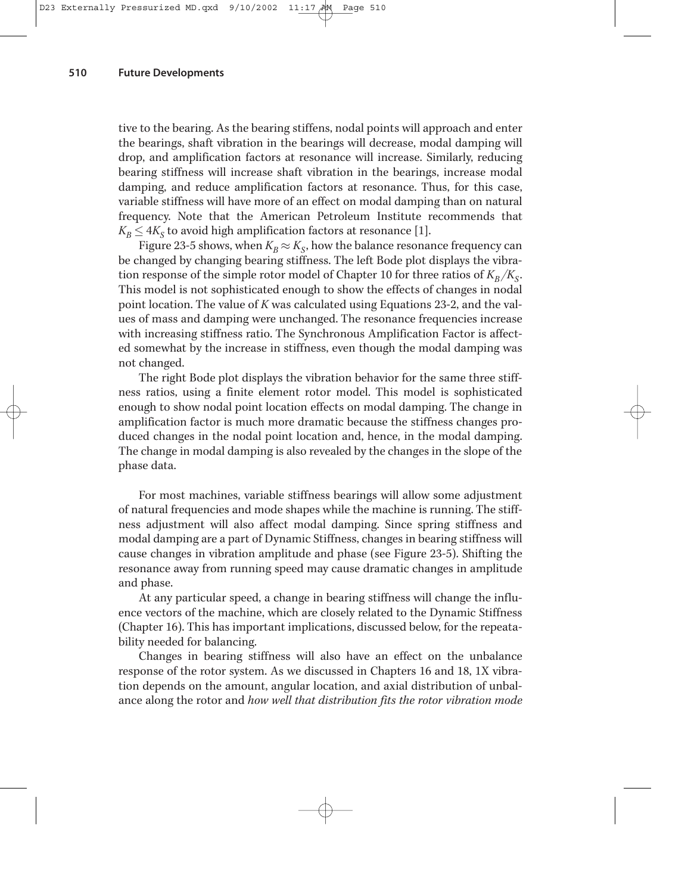tive to the bearing. As the bearing stiffens, nodal points will approach and enter the bearings, shaft vibration in the bearings will decrease, modal damping will drop, and amplification factors at resonance will increase. Similarly, reducing bearing stiffness will increase shaft vibration in the bearings, increase modal damping, and reduce amplification factors at resonance. Thus, for this case, variable stiffness will have more of an effect on modal damping than on natural frequency. Note that the American Petroleum Institute recommends that  $K_{\rm B} \leq 4K_{\rm s}$  to avoid high amplification factors at resonance [1].

Figure 23-5 shows, when  $K_B \approx K_S$ , how the balance resonance frequency can be changed by changing bearing stiffness. The left Bode plot displays the vibration response of the simple rotor model of Chapter 10 for three ratios of  $K_B/K_S$ . This model is not sophisticated enough to show the effects of changes in nodal point location. The value of K was calculated using Equations 23-2, and the values of mass and damping were unchanged. The resonance frequencies increase with increasing stiffness ratio. The Synchronous Amplification Factor is affected somewhat by the increase in stiffness, even though the modal damping was not changed.

The right Bode plot displays the vibration behavior for the same three stiffness ratios, using a finite element rotor model. This model is sophisticated enough to show nodal point location effects on modal damping. The change in amplification factor is much more dramatic because the stiffness changes produced changes in the nodal point location and, hence, in the modal damping. The change in modal damping is also revealed by the changes in the slope of the phase data.

For most machines, variable stiffness bearings will allow some adjustment of natural frequencies and mode shapes while the machine is running. The stiffness adjustment will also affect modal damping. Since spring stiffness and modal damping are a part of Dynamic Stiffness, changes in bearing stiffness will cause changes in vibration amplitude and phase (see Figure 23-5). Shifting the resonance away from running speed may cause dramatic changes in amplitude and phase.

At any particular speed, a change in bearing stiffness will change the influence vectors of the machine, which are closely related to the Dynamic Stiffness (Chapter 16). This has important implications, discussed below, for the repeatability needed for balancing.

Changes in bearing stiffness will also have an effect on the unbalance response of the rotor system. As we discussed in Chapters 16 and 18, 1X vibration depends on the amount, angular location, and axial distribution of unbalance along the rotor and how well that distribution fits the rotor vibration mode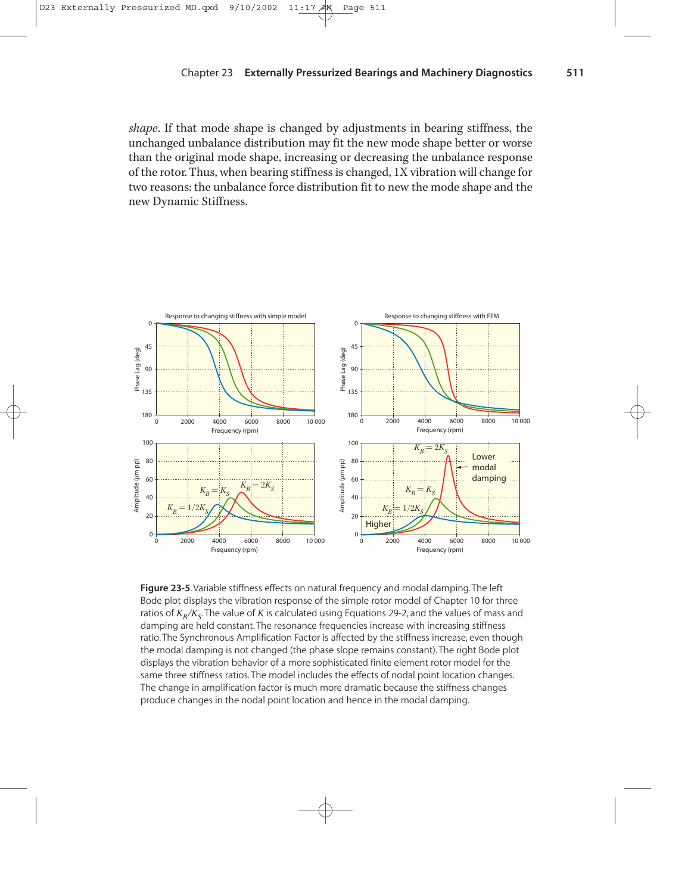shape. If that mode shape is changed by adjustments in bearing stiffness, the unchanged unbalance distribution may fit the new mode shape better or worse than the original mode shape, increasing or decreasing the unbalance response of the rotor. Thus, when bearing stiffness is changed, 1X vibration will change for two reasons: the unbalance force distribution fit to new the mode shape and the new Dynamic Stiffness.



Figure 23-5. Variable stiffness effects on natural frequency and modal damping. The left Bode plot displays the vibration response of the simple rotor model of Chapter 10 for three ratios of  $K_B/K_S$ . The value of K is calculated using Equations 29-2, and the values of mass and damping are held constant. The resonance frequencies increase with increasing stiffness ratio. The Synchronous Amplification Factor is affected by the stiffness increase, even though the modal damping is not changed (the phase slope remains constant). The right Bode plot displays the vibration behavior of a more sophisticated finite element rotor model for the same three stiffness ratios. The model includes the effects of nodal point location changes. The change in amplification factor is much more dramatic because the stiffness changes produce changes in the nodal point location and hence in the modal damping.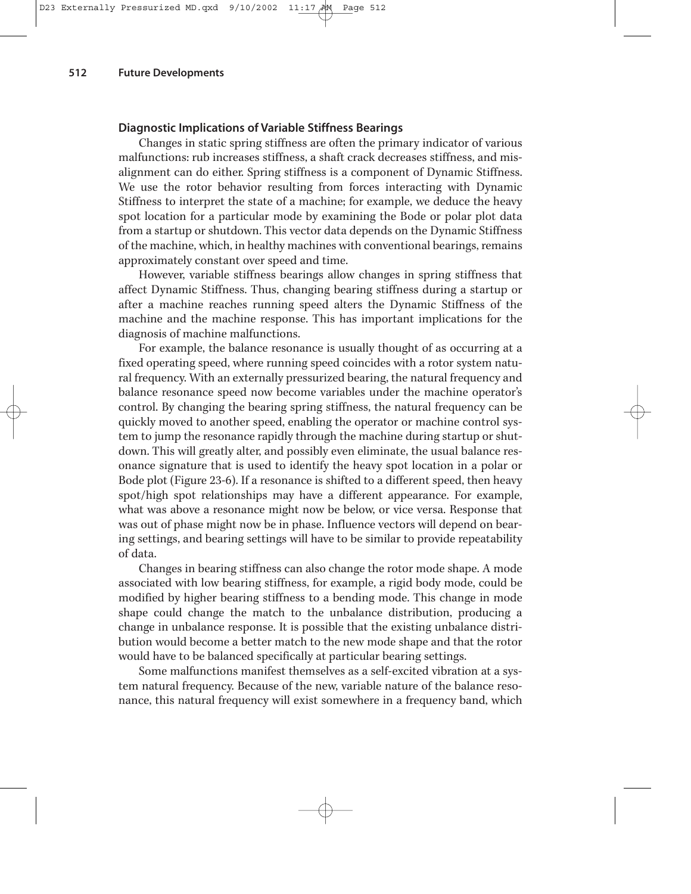# Diagnostic Implications of Variable Stiffness Bearings

Changes in static spring stiffness are often the primary indicator of various malfunctions: rub increases stiffness, a shaft crack decreases stiffness, and misalignment can do either. Spring stiffness is a component of Dynamic Stiffness. We use the rotor behavior resulting from forces interacting with Dynamic Stiffness to interpret the state of a machine; for example, we deduce the heavy spot location for a particular mode by examining the Bode or polar plot data from a startup or shutdown. This vector data depends on the Dynamic Stiffness of the machine, which, in healthy machines with conventional bearings, remains approximately constant over speed and time.

However, variable stiffness bearings allow changes in spring stiffness that affect Dynamic Stiffness. Thus, changing bearing stiffness during a startup or after a machine reaches running speed alters the Dynamic Stiffness of the machine and the machine response. This has important implications for the diagnosis of machine malfunctions.

For example, the balance resonance is usually thought of as occurring at a fixed operating speed, where running speed coincides with a rotor system natural frequency. With an externally pressurized bearing, the natural frequency and balance resonance speed now become variables under the machine operator's control. By changing the bearing spring stiffness, the natural frequency can be quickly moved to another speed, enabling the operator or machine control system to jump the resonance rapidly through the machine during startup or shutdown. This will greatly alter, and possibly even eliminate, the usual balance resonance signature that is used to identify the heavy spot location in a polar or Bode plot (Figure 23-6). If a resonance is shifted to a different speed, then heavy spot/high spot relationships may have a different appearance. For example, what was above a resonance might now be below, or vice versa. Response that was out of phase might now be in phase. Influence vectors will depend on bearing settings, and bearing settings will have to be similar to provide repeatability of data.

Changes in bearing stiffness can also change the rotor mode shape. A mode associated with low bearing stiffness, for example, a rigid body mode, could be modified by higher bearing stiffness to a bending mode. This change in mode shape could change the match to the unbalance distribution, producing a change in unbalance response. It is possible that the existing unbalance distribution would become a better match to the new mode shape and that the rotor would have to be balanced specifically at particular bearing settings.

Some malfunctions manifest themselves as a self-excited vibration at a system natural frequency. Because of the new, variable nature of the balance resonance, this natural frequency will exist somewhere in a frequency band, which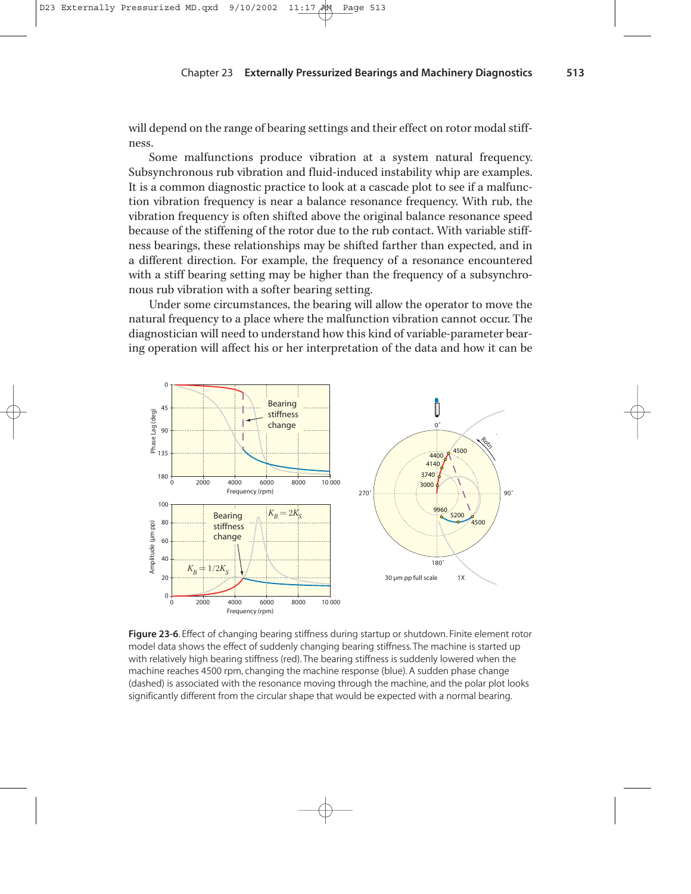will depend on the range of bearing settings and their effect on rotor modal stiffness.

Some malfunctions produce vibration at a system natural frequency. Subsynchronous rub vibration and fluid-induced instability whip are examples. It is a common diagnostic practice to look at a cascade plot to see if a malfunction vibration frequency is near a balance resonance frequency. With rub, the vibration frequency is often shifted above the original balance resonance speed because of the stiffening of the rotor due to the rub contact. With variable stiffness bearings, these relationships may be shifted farther than expected, and in a different direction. For example, the frequency of a resonance encountered with a stiff bearing setting may be higher than the frequency of a subsynchronous rub vibration with a softer bearing setting.

Under some circumstances, the bearing will allow the operator to move the natural frequency to a place where the malfunction vibration cannot occur. The diagnostician will need to understand how this kind of variable-parameter bearing operation will affect his or her interpretation of the data and how it can be



Figure 23-6. Effect of changing bearing stiffness during startup or shutdown. Finite element rotor model data shows the effect of suddenly changing bearing stiffness. The machine is started up with relatively high bearing stiffness (red). The bearing stiffness is suddenly lowered when the machine reaches 4500 rpm, changing the machine response (blue). A sudden phase change (dashed) is associated with the resonance moving through the machine, and the polar plot looks significantly different from the circular shape that would be expected with a normal bearing.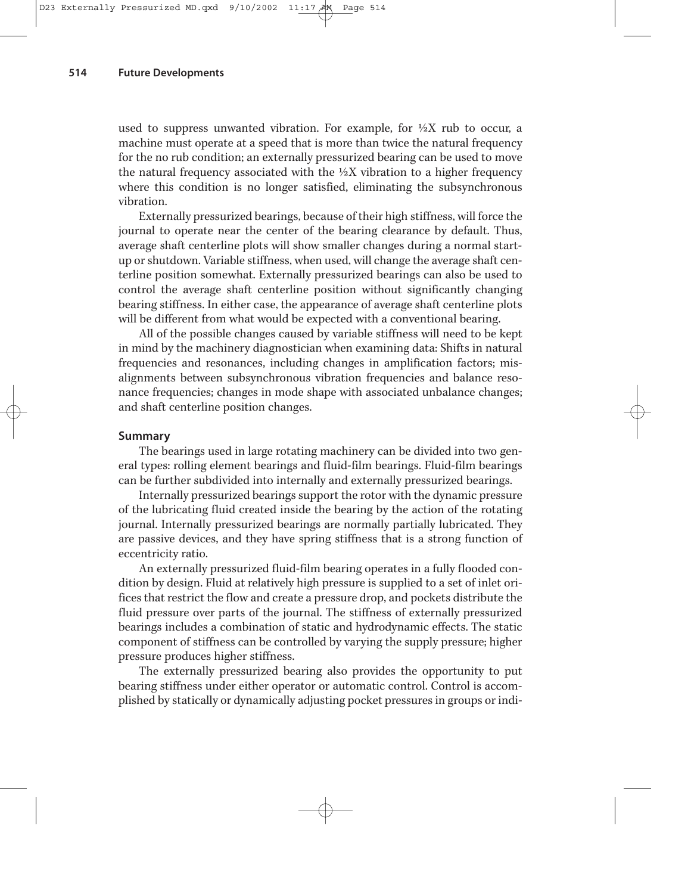used to suppress unwanted vibration. For example, for  $\frac{1}{2}X$  rub to occur, a machine must operate at a speed that is more than twice the natural frequency for the no rub condition; an externally pressurized bearing can be used to move the natural frequency associated with the  $\frac{1}{2}X$  vibration to a higher frequency where this condition is no longer satisfied, eliminating the subsynchronous vibration.

Externally pressurized bearings, because of their high stiffness, will force the journal to operate near the center of the bearing clearance by default. Thus, average shaft centerline plots will show smaller changes during a normal startup or shutdown. Variable stiffness, when used, will change the average shaft centerline position somewhat. Externally pressurized bearings can also be used to control the average shaft centerline position without significantly changing bearing stiffness. In either case, the appearance of average shaft centerline plots will be different from what would be expected with a conventional bearing.

All of the possible changes caused by variable stiffness will need to be kept in mind by the machinery diagnostician when examining data: Shifts in natural frequencies and resonances, including changes in amplification factors; misalignments between subsynchronous vibration frequencies and balance resonance frequencies; changes in mode shape with associated unbalance changes; and shaft centerline position changes.

# Summary

The bearings used in large rotating machinery can be divided into two general types: rolling element bearings and fluid-film bearings. Fluid-film bearings can be further subdivided into internally and externally pressurized bearings.

Internally pressurized bearings support the rotor with the dynamic pressure of the lubricating fluid created inside the bearing by the action of the rotating journal. Internally pressurized bearings are normally partially lubricated. They are passive devices, and they have spring stiffness that is a strong function of eccentricity ratio.

An externally pressurized fluid-film bearing operates in a fully flooded condition by design. Fluid at relatively high pressure is supplied to a set of inlet orifices that restrict the flow and create a pressure drop, and pockets distribute the fluid pressure over parts of the journal. The stiffness of externally pressurized bearings includes a combination of static and hydrodynamic effects. The static component of stiffness can be controlled by varying the supply pressure; higher pressure produces higher stiffness.

The externally pressurized bearing also provides the opportunity to put bearing stiffness under either operator or automatic control. Control is accomplished by statically or dynamically adjusting pocket pressures in groups or indi-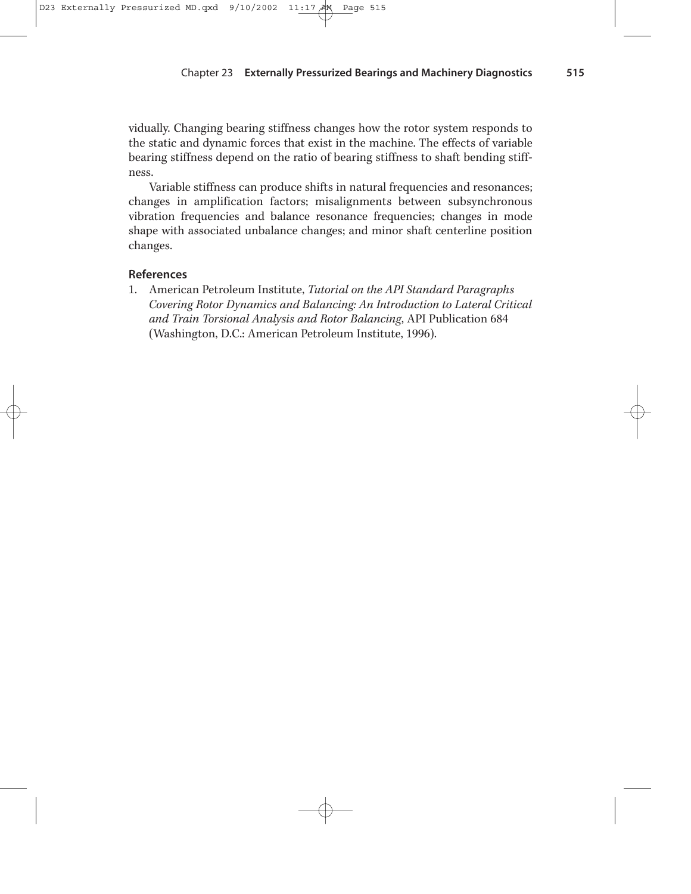vidually. Changing bearing stiffness changes how the rotor system responds to the static and dynamic forces that exist in the machine. The effects of variable bearing stiffness depend on the ratio of bearing stiffness to shaft bending stiffness.

Variable stiffness can produce shifts in natural frequencies and resonances; changes in amplification factors; misalignments between subsynchronous vibration frequencies and balance resonance frequencies; changes in mode shape with associated unbalance changes; and minor shaft centerline position changes.

# References

1. American Petroleum Institute, Tutorial on the API Standard Paragraphs Covering Rotor Dynamics and Balancing: An Introduction to Lateral Critical and Train Torsional Analysis and Rotor Balancing, API Publication 684 (Washington, D.C.: American Petroleum Institute, 1996).